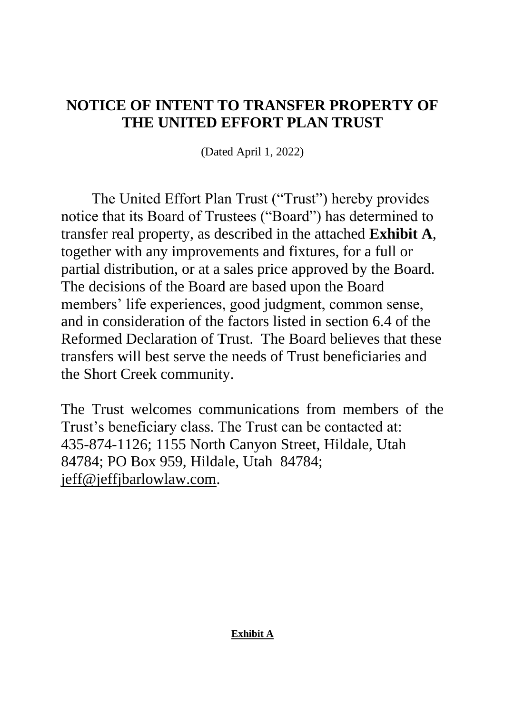## **NOTICE OF INTENT TO TRANSFER PROPERTY OF THE UNITED EFFORT PLAN TRUST**

(Dated April 1, 2022)

The United Effort Plan Trust ("Trust") hereby provides notice that its Board of Trustees ("Board") has determined to transfer real property, as described in the attached **Exhibit A**, together with any improvements and fixtures, for a full or partial distribution, or at a sales price approved by the Board. The decisions of the Board are based upon the Board members' life experiences, good judgment, common sense, and in consideration of the factors listed in section 6.4 of the Reformed Declaration of Trust. The Board believes that these transfers will best serve the needs of Trust beneficiaries and the Short Creek community.

The Trust welcomes communications from members of the Trust's beneficiary class. The Trust can be contacted at: 435-874-1126; 1155 North Canyon Street, Hildale, Utah 84784; PO Box 959, Hildale, Utah 84784; jeff@jeffjbarlowlaw.com.

## **Exhibit A**